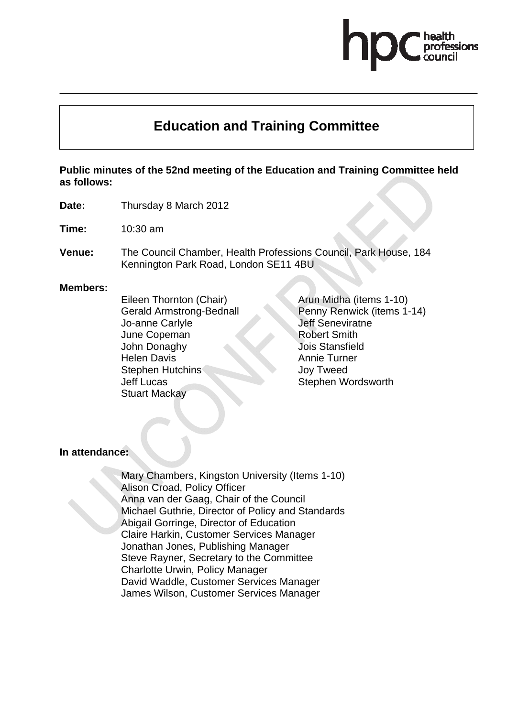# **Education and Training Committee**

**Public minutes of the 52nd meeting of the Education and Training Committee held as follows:** 

**Date:** Thursday 8 March 2012

**Time:** 10:30 am

**Venue:** The Council Chamber, Health Professions Council, Park House, 184 Kennington Park Road, London SE11 4BU

#### **Members:**

Eileen Thornton (Chair) Gerald Armstrong-Bednall Jo-anne Carlyle June Copeman John Donaghy Helen Davis Stephen Hutchins Jeff Lucas Stuart Mackay

Arun Midha (items 1-10) Penny Renwick (items 1-14) Jeff Seneviratne Robert Smith Jois Stansfield Annie Turner Joy Tweed Stephen Wordsworth

**In attendance:** 

Mary Chambers, Kingston University (Items 1-10) Alison Croad, Policy Officer Anna van der Gaag, Chair of the Council Michael Guthrie, Director of Policy and Standards Abigail Gorringe, Director of Education Claire Harkin, Customer Services Manager Jonathan Jones, Publishing Manager Steve Rayner, Secretary to the Committee Charlotte Urwin, Policy Manager David Waddle, Customer Services Manager James Wilson, Customer Services Manager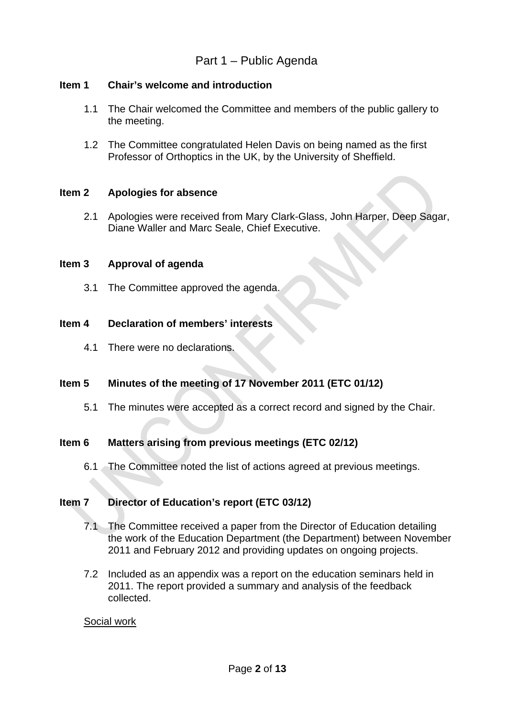## Part 1 – Public Agenda

## **Item 1 Chair's welcome and introduction**

- 1.1 The Chair welcomed the Committee and members of the public gallery to the meeting.
- 1.2 The Committee congratulated Helen Davis on being named as the first Professor of Orthoptics in the UK, by the University of Sheffield.

## **Item 2 Apologies for absence**

2.1 Apologies were received from Mary Clark-Glass, John Harper, Deep Sagar, Diane Waller and Marc Seale, Chief Executive.

## **Item 3 Approval of agenda**

3.1 The Committee approved the agenda.

## **Item 4 Declaration of members' interests**

4.1 There were no declarations.

## **Item 5 Minutes of the meeting of 17 November 2011 (ETC 01/12)**

5.1 The minutes were accepted as a correct record and signed by the Chair.

## **Item 6 Matters arising from previous meetings (ETC 02/12)**

6.1 The Committee noted the list of actions agreed at previous meetings.

## **Item 7 Director of Education's report (ETC 03/12)**

- 7.1 The Committee received a paper from the Director of Education detailing the work of the Education Department (the Department) between November 2011 and February 2012 and providing updates on ongoing projects.
- 7.2 Included as an appendix was a report on the education seminars held in 2011. The report provided a summary and analysis of the feedback collected.

#### Social work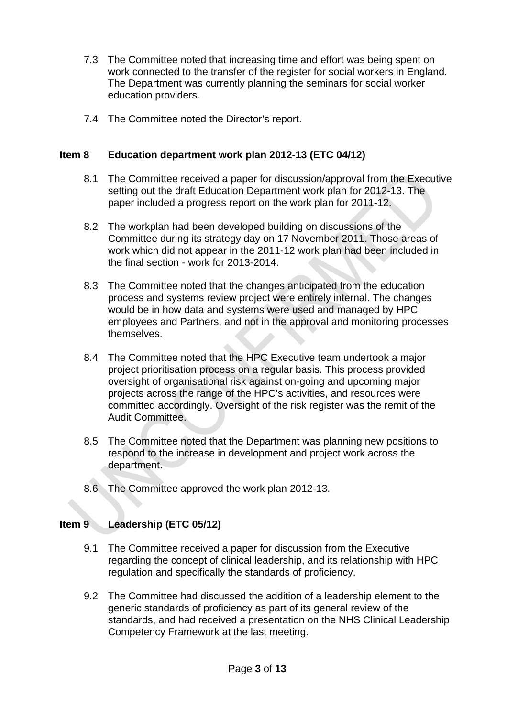- 7.3 The Committee noted that increasing time and effort was being spent on work connected to the transfer of the register for social workers in England. The Department was currently planning the seminars for social worker education providers.
- 7.4 The Committee noted the Director's report.

## **Item 8 Education department work plan 2012-13 (ETC 04/12)**

- 8.1 The Committee received a paper for discussion/approval from the Executive setting out the draft Education Department work plan for 2012-13. The paper included a progress report on the work plan for 2011-12.
- 8.2 The workplan had been developed building on discussions of the Committee during its strategy day on 17 November 2011. Those areas of work which did not appear in the 2011-12 work plan had been included in the final section - work for 2013-2014.
- 8.3 The Committee noted that the changes anticipated from the education process and systems review project were entirely internal. The changes would be in how data and systems were used and managed by HPC employees and Partners, and not in the approval and monitoring processes themselves.
- 8.4 The Committee noted that the HPC Executive team undertook a major project prioritisation process on a regular basis. This process provided oversight of organisational risk against on-going and upcoming major projects across the range of the HPC's activities, and resources were committed accordingly. Oversight of the risk register was the remit of the Audit Committee.
- 8.5 The Committee noted that the Department was planning new positions to respond to the increase in development and project work across the department.
- 8.6 The Committee approved the work plan 2012-13.

## **Item 9 Leadership (ETC 05/12)**

- 9.1 The Committee received a paper for discussion from the Executive regarding the concept of clinical leadership, and its relationship with HPC regulation and specifically the standards of proficiency.
- 9.2 The Committee had discussed the addition of a leadership element to the generic standards of proficiency as part of its general review of the standards, and had received a presentation on the NHS Clinical Leadership Competency Framework at the last meeting.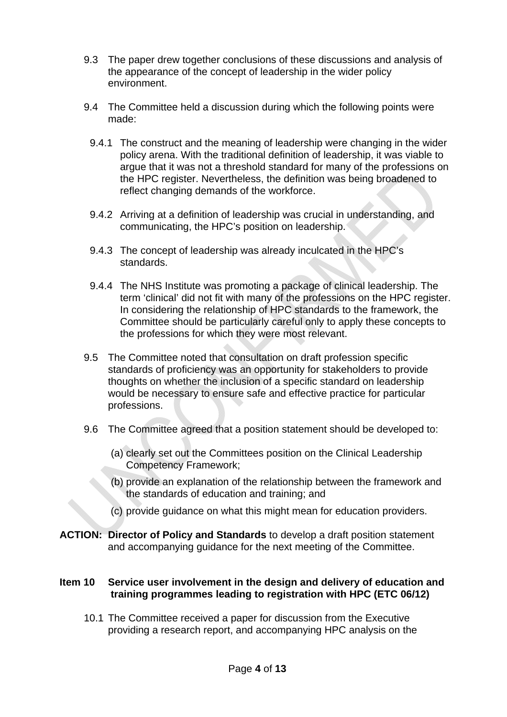- 9.3 The paper drew together conclusions of these discussions and analysis of the appearance of the concept of leadership in the wider policy environment.
- 9.4 The Committee held a discussion during which the following points were made:
	- 9.4.1 The construct and the meaning of leadership were changing in the wider policy arena. With the traditional definition of leadership, it was viable to argue that it was not a threshold standard for many of the professions on the HPC register. Nevertheless, the definition was being broadened to reflect changing demands of the workforce.
	- 9.4.2 Arriving at a definition of leadership was crucial in understanding, and communicating, the HPC's position on leadership.
	- 9.4.3 The concept of leadership was already inculcated in the HPC's standards.
	- 9.4.4 The NHS Institute was promoting a package of clinical leadership. The term 'clinical' did not fit with many of the professions on the HPC register. In considering the relationship of HPC standards to the framework, the Committee should be particularly careful only to apply these concepts to the professions for which they were most relevant.
- 9.5 The Committee noted that consultation on draft profession specific standards of proficiency was an opportunity for stakeholders to provide thoughts on whether the inclusion of a specific standard on leadership would be necessary to ensure safe and effective practice for particular professions.
- 9.6 The Committee agreed that a position statement should be developed to:
	- (a) clearly set out the Committees position on the Clinical Leadership Competency Framework;
	- (b) provide an explanation of the relationship between the framework and the standards of education and training; and
	- (c) provide guidance on what this might mean for education providers.
- **ACTION: Director of Policy and Standards** to develop a draft position statement and accompanying guidance for the next meeting of the Committee.

## **Item 10 Service user involvement in the design and delivery of education and training programmes leading to registration with HPC (ETC 06/12)**

10.1 The Committee received a paper for discussion from the Executive providing a research report, and accompanying HPC analysis on the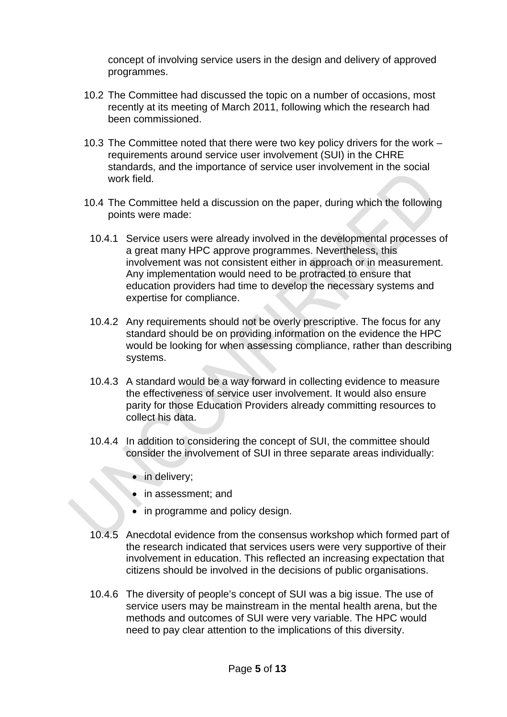concept of involving service users in the design and delivery of approved programmes.

- 10.2 The Committee had discussed the topic on a number of occasions, most recently at its meeting of March 2011, following which the research had been commissioned.
- 10.3 The Committee noted that there were two key policy drivers for the work requirements around service user involvement (SUI) in the CHRE standards, and the importance of service user involvement in the social work field.
- 10.4 The Committee held a discussion on the paper, during which the following points were made:
	- 10.4.1 Service users were already involved in the developmental processes of a great many HPC approve programmes. Nevertheless, this involvement was not consistent either in approach or in measurement. Any implementation would need to be protracted to ensure that education providers had time to develop the necessary systems and expertise for compliance.
	- 10.4.2 Any requirements should not be overly prescriptive. The focus for any standard should be on providing information on the evidence the HPC would be looking for when assessing compliance, rather than describing systems.
	- 10.4.3 A standard would be a way forward in collecting evidence to measure the effectiveness of service user involvement. It would also ensure parity for those Education Providers already committing resources to collect his data.
	- 10.4.4 In addition to considering the concept of SUI, the committee should consider the involvement of SUI in three separate areas individually:
		- in delivery;
		- in assessment; and
		- in programme and policy design.
- 10.4.5 Anecdotal evidence from the consensus workshop which formed part of the research indicated that services users were very supportive of their involvement in education. This reflected an increasing expectation that citizens should be involved in the decisions of public organisations.
- 10.4.6 The diversity of people's concept of SUI was a big issue. The use of service users may be mainstream in the mental health arena, but the methods and outcomes of SUI were very variable. The HPC would need to pay clear attention to the implications of this diversity.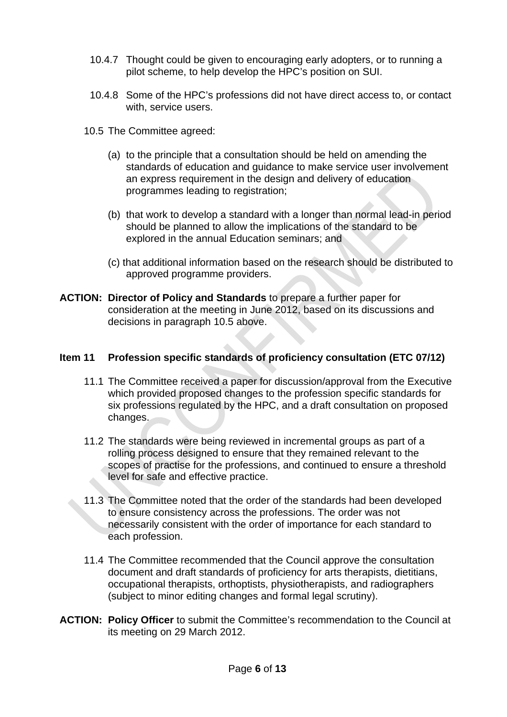- 10.4.7 Thought could be given to encouraging early adopters, or to running a pilot scheme, to help develop the HPC's position on SUI.
- 10.4.8 Some of the HPC's professions did not have direct access to, or contact with, service users.
- 10.5 The Committee agreed:
	- (a) to the principle that a consultation should be held on amending the standards of education and guidance to make service user involvement an express requirement in the design and delivery of education programmes leading to registration;
	- (b) that work to develop a standard with a longer than normal lead-in period should be planned to allow the implications of the standard to be explored in the annual Education seminars; and
	- (c) that additional information based on the research should be distributed to approved programme providers.
- **ACTION: Director of Policy and Standards** to prepare a further paper for consideration at the meeting in June 2012, based on its discussions and decisions in paragraph 10.5 above.

## **Item 11 Profession specific standards of proficiency consultation (ETC 07/12)**

- 11.1 The Committee received a paper for discussion/approval from the Executive which provided proposed changes to the profession specific standards for six professions regulated by the HPC, and a draft consultation on proposed changes.
- 11.2 The standards were being reviewed in incremental groups as part of a rolling process designed to ensure that they remained relevant to the scopes of practise for the professions, and continued to ensure a threshold level for safe and effective practice.
- 11.3 The Committee noted that the order of the standards had been developed to ensure consistency across the professions. The order was not necessarily consistent with the order of importance for each standard to each profession.
- 11.4 The Committee recommended that the Council approve the consultation document and draft standards of proficiency for arts therapists, dietitians, occupational therapists, orthoptists, physiotherapists, and radiographers (subject to minor editing changes and formal legal scrutiny).
- **ACTION: Policy Officer** to submit the Committee's recommendation to the Council at its meeting on 29 March 2012.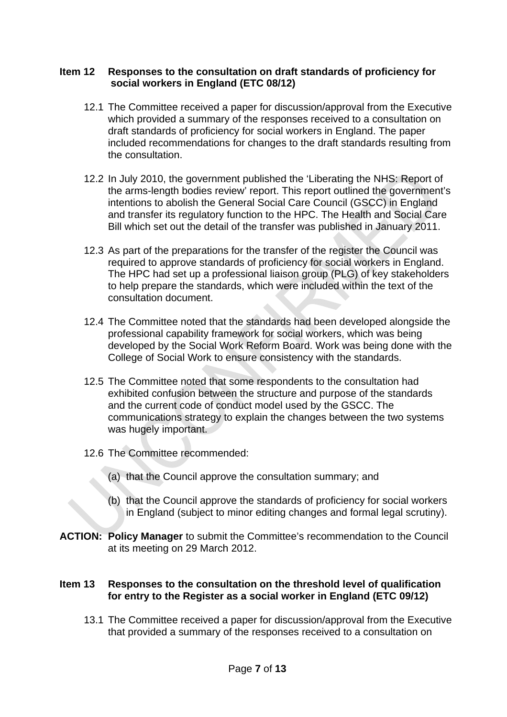#### **Item 12 Responses to the consultation on draft standards of proficiency for social workers in England (ETC 08/12)**

- 12.1 The Committee received a paper for discussion/approval from the Executive which provided a summary of the responses received to a consultation on draft standards of proficiency for social workers in England. The paper included recommendations for changes to the draft standards resulting from the consultation.
- 12.2 In July 2010, the government published the 'Liberating the NHS: Report of the arms-length bodies review' report. This report outlined the government's intentions to abolish the General Social Care Council (GSCC) in England and transfer its regulatory function to the HPC. The Health and Social Care Bill which set out the detail of the transfer was published in January 2011.
- 12.3 As part of the preparations for the transfer of the register the Council was required to approve standards of proficiency for social workers in England. The HPC had set up a professional liaison group (PLG) of key stakeholders to help prepare the standards, which were included within the text of the consultation document.
- 12.4 The Committee noted that the standards had been developed alongside the professional capability framework for social workers, which was being developed by the Social Work Reform Board. Work was being done with the College of Social Work to ensure consistency with the standards.
- 12.5 The Committee noted that some respondents to the consultation had exhibited confusion between the structure and purpose of the standards and the current code of conduct model used by the GSCC. The communications strategy to explain the changes between the two systems was hugely important.
- 12.6 The Committee recommended:
	- (a) that the Council approve the consultation summary; and
	- (b) that the Council approve the standards of proficiency for social workers in England (subject to minor editing changes and formal legal scrutiny).
- **ACTION: Policy Manager** to submit the Committee's recommendation to the Council at its meeting on 29 March 2012.

## **Item 13 Responses to the consultation on the threshold level of qualification for entry to the Register as a social worker in England (ETC 09/12)**

13.1 The Committee received a paper for discussion/approval from the Executive that provided a summary of the responses received to a consultation on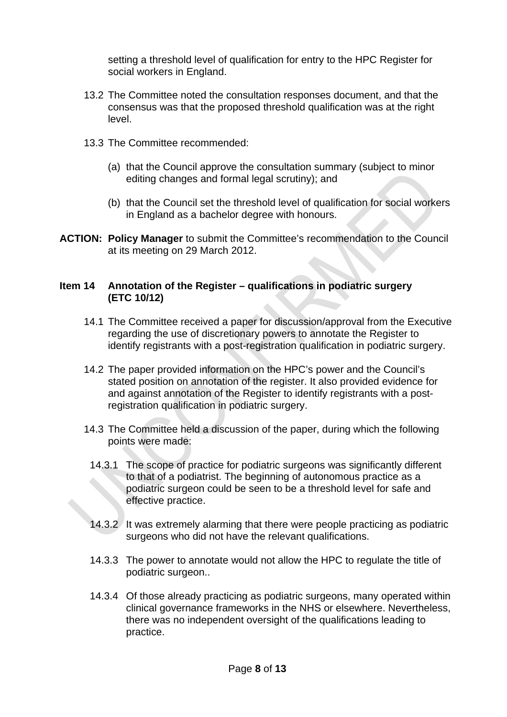setting a threshold level of qualification for entry to the HPC Register for social workers in England.

- 13.2 The Committee noted the consultation responses document, and that the consensus was that the proposed threshold qualification was at the right level.
- 13.3 The Committee recommended:
	- (a) that the Council approve the consultation summary (subject to minor editing changes and formal legal scrutiny); and
	- (b) that the Council set the threshold level of qualification for social workers in England as a bachelor degree with honours.
- **ACTION: Policy Manager** to submit the Committee's recommendation to the Council at its meeting on 29 March 2012.

#### **Item 14 Annotation of the Register – qualifications in podiatric surgery (ETC 10/12)**

- 14.1 The Committee received a paper for discussion/approval from the Executive regarding the use of discretionary powers to annotate the Register to identify registrants with a post-registration qualification in podiatric surgery.
- 14.2 The paper provided information on the HPC's power and the Council's stated position on annotation of the register. It also provided evidence for and against annotation of the Register to identify registrants with a postregistration qualification in podiatric surgery.
- 14.3 The Committee held a discussion of the paper, during which the following points were made:
	- 14.3.1 The scope of practice for podiatric surgeons was significantly different to that of a podiatrist. The beginning of autonomous practice as a podiatric surgeon could be seen to be a threshold level for safe and effective practice.
- 14.3.2 It was extremely alarming that there were people practicing as podiatric surgeons who did not have the relevant qualifications.
- 14.3.3 The power to annotate would not allow the HPC to regulate the title of podiatric surgeon..
- 14.3.4 Of those already practicing as podiatric surgeons, many operated within clinical governance frameworks in the NHS or elsewhere. Nevertheless, there was no independent oversight of the qualifications leading to practice.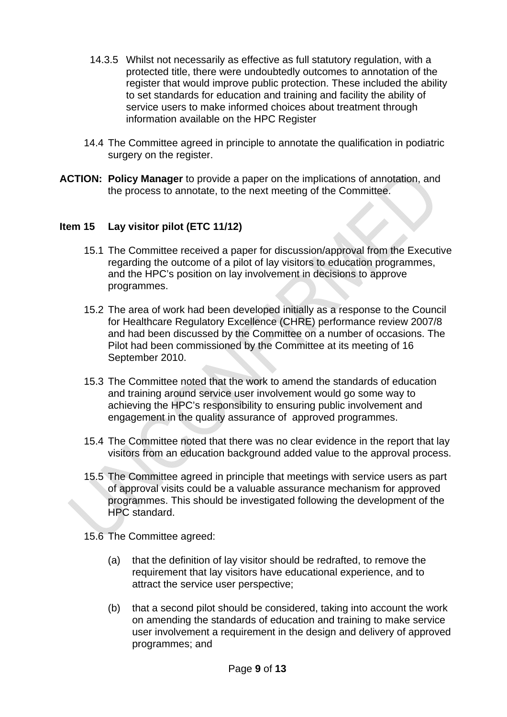- 14.3.5 Whilst not necessarily as effective as full statutory regulation, with a protected title, there were undoubtedly outcomes to annotation of the register that would improve public protection. These included the ability to set standards for education and training and facility the ability of service users to make informed choices about treatment through information available on the HPC Register
- 14.4 The Committee agreed in principle to annotate the qualification in podiatric surgery on the register.
- **ACTION: Policy Manager** to provide a paper on the implications of annotation, and the process to annotate, to the next meeting of the Committee.

## **Item 15 Lay visitor pilot (ETC 11/12)**

- 15.1 The Committee received a paper for discussion/approval from the Executive regarding the outcome of a pilot of lay visitors to education programmes, and the HPC's position on lay involvement in decisions to approve programmes.
- 15.2 The area of work had been developed initially as a response to the Council for Healthcare Regulatory Excellence (CHRE) performance review 2007/8 and had been discussed by the Committee on a number of occasions. The Pilot had been commissioned by the Committee at its meeting of 16 September 2010.
- 15.3 The Committee noted that the work to amend the standards of education and training around service user involvement would go some way to achieving the HPC's responsibility to ensuring public involvement and engagement in the quality assurance of approved programmes.
- 15.4 The Committee noted that there was no clear evidence in the report that lay visitors from an education background added value to the approval process.
- 15.5 The Committee agreed in principle that meetings with service users as part of approval visits could be a valuable assurance mechanism for approved programmes. This should be investigated following the development of the HPC standard.
- 15.6 The Committee agreed:
	- (a) that the definition of lay visitor should be redrafted, to remove the requirement that lay visitors have educational experience, and to attract the service user perspective;
	- (b) that a second pilot should be considered, taking into account the work on amending the standards of education and training to make service user involvement a requirement in the design and delivery of approved programmes; and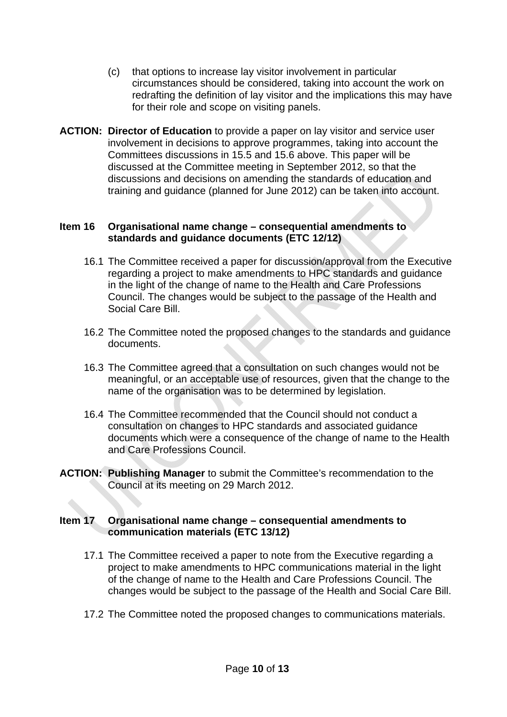- (c) that options to increase lay visitor involvement in particular circumstances should be considered, taking into account the work on redrafting the definition of lay visitor and the implications this may have for their role and scope on visiting panels.
- **ACTION: Director of Education** to provide a paper on lay visitor and service user involvement in decisions to approve programmes, taking into account the Committees discussions in 15.5 and 15.6 above. This paper will be discussed at the Committee meeting in September 2012, so that the discussions and decisions on amending the standards of education and training and guidance (planned for June 2012) can be taken into account.

#### **Item 16 Organisational name change – consequential amendments to standards and guidance documents (ETC 12/12)**

- 16.1 The Committee received a paper for discussion/approval from the Executive regarding a project to make amendments to HPC standards and guidance in the light of the change of name to the Health and Care Professions Council. The changes would be subject to the passage of the Health and Social Care Bill.
- 16.2 The Committee noted the proposed changes to the standards and guidance documents.
- 16.3 The Committee agreed that a consultation on such changes would not be meaningful, or an acceptable use of resources, given that the change to the name of the organisation was to be determined by legislation.
- 16.4 The Committee recommended that the Council should not conduct a consultation on changes to HPC standards and associated guidance documents which were a consequence of the change of name to the Health and Care Professions Council.
- **ACTION: Publishing Manager** to submit the Committee's recommendation to the Council at its meeting on 29 March 2012.

## **Item 17 Organisational name change – consequential amendments to communication materials (ETC 13/12)**

- 17.1 The Committee received a paper to note from the Executive regarding a project to make amendments to HPC communications material in the light of the change of name to the Health and Care Professions Council. The changes would be subject to the passage of the Health and Social Care Bill.
- 17.2 The Committee noted the proposed changes to communications materials.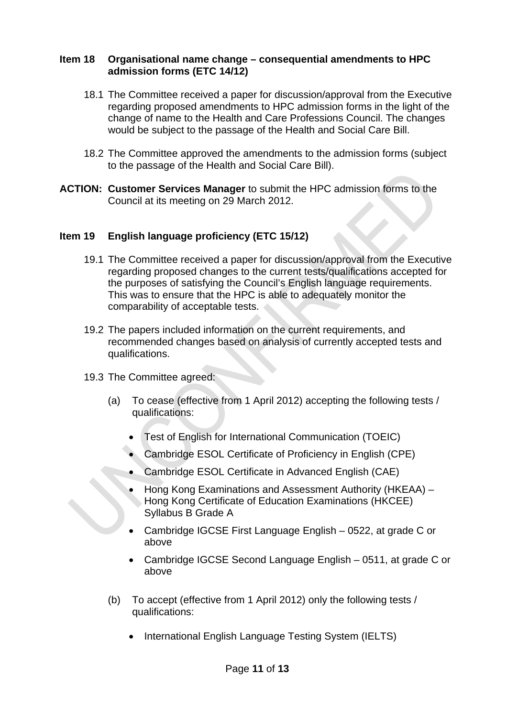#### **Item 18 Organisational name change – consequential amendments to HPC admission forms (ETC 14/12)**

- 18.1 The Committee received a paper for discussion/approval from the Executive regarding proposed amendments to HPC admission forms in the light of the change of name to the Health and Care Professions Council. The changes would be subject to the passage of the Health and Social Care Bill.
- 18.2 The Committee approved the amendments to the admission forms (subject to the passage of the Health and Social Care Bill).
- **ACTION: Customer Services Manager** to submit the HPC admission forms to the Council at its meeting on 29 March 2012.

#### **Item 19 English language proficiency (ETC 15/12)**

- 19.1 The Committee received a paper for discussion/approval from the Executive regarding proposed changes to the current tests/qualifications accepted for the purposes of satisfying the Council's English language requirements. This was to ensure that the HPC is able to adequately monitor the comparability of acceptable tests.
- 19.2 The papers included information on the current requirements, and recommended changes based on analysis of currently accepted tests and qualifications.
- 19.3 The Committee agreed:
	- (a) To cease (effective from 1 April 2012) accepting the following tests / qualifications:
		- Test of English for International Communication (TOEIC)
		- Cambridge ESOL Certificate of Proficiency in English (CPE)
		- Cambridge ESOL Certificate in Advanced English (CAE)
		- Hong Kong Examinations and Assessment Authority (HKEAA) Hong Kong Certificate of Education Examinations (HKCEE) Syllabus B Grade A
		- Cambridge IGCSE First Language English 0522, at grade C or above
		- Cambridge IGCSE Second Language English 0511, at grade C or above
	- (b) To accept (effective from 1 April 2012) only the following tests / qualifications:
		- International English Language Testing System (IELTS)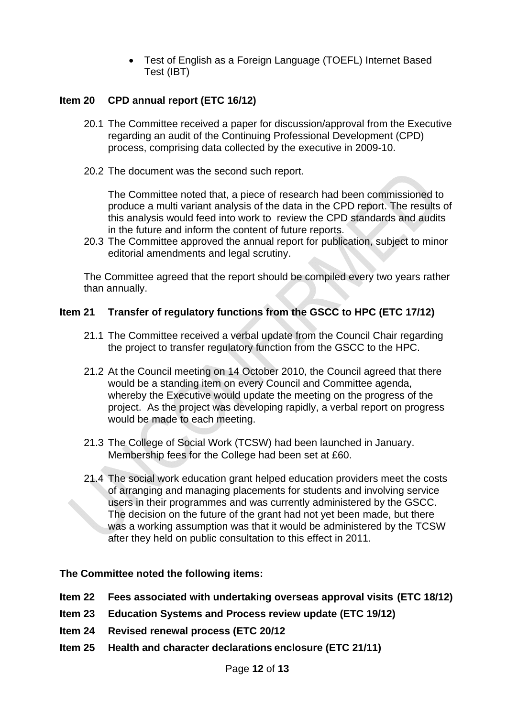• Test of English as a Foreign Language (TOEFL) Internet Based Test (IBT)

## **Item 20 CPD annual report (ETC 16/12)**

- 20.1 The Committee received a paper for discussion/approval from the Executive regarding an audit of the Continuing Professional Development (CPD) process, comprising data collected by the executive in 2009-10.
- 20.2 The document was the second such report.

The Committee noted that, a piece of research had been commissioned to produce a multi variant analysis of the data in the CPD report. The results of this analysis would feed into work to review the CPD standards and audits in the future and inform the content of future reports.

20.3 The Committee approved the annual report for publication, subject to minor editorial amendments and legal scrutiny.

The Committee agreed that the report should be compiled every two years rather than annually.

## **Item 21 Transfer of regulatory functions from the GSCC to HPC (ETC 17/12)**

- 21.1 The Committee received a verbal update from the Council Chair regarding the project to transfer regulatory function from the GSCC to the HPC.
- 21.2 At the Council meeting on 14 October 2010, the Council agreed that there would be a standing item on every Council and Committee agenda, whereby the Executive would update the meeting on the progress of the project. As the project was developing rapidly, a verbal report on progress would be made to each meeting.
- 21.3 The College of Social Work (TCSW) had been launched in January. Membership fees for the College had been set at £60.
- 21.4 The social work education grant helped education providers meet the costs of arranging and managing placements for students and involving service users in their programmes and was currently administered by the GSCC. The decision on the future of the grant had not yet been made, but there was a working assumption was that it would be administered by the TCSW after they held on public consultation to this effect in 2011.

## **The Committee noted the following items:**

- **Item 22 Fees associated with undertaking overseas approval visits (ETC 18/12)**
- **Item 23 Education Systems and Process review update (ETC 19/12)**
- **Item 24 Revised renewal process (ETC 20/12**
- **Item 25 Health and character declarations enclosure (ETC 21/11)**